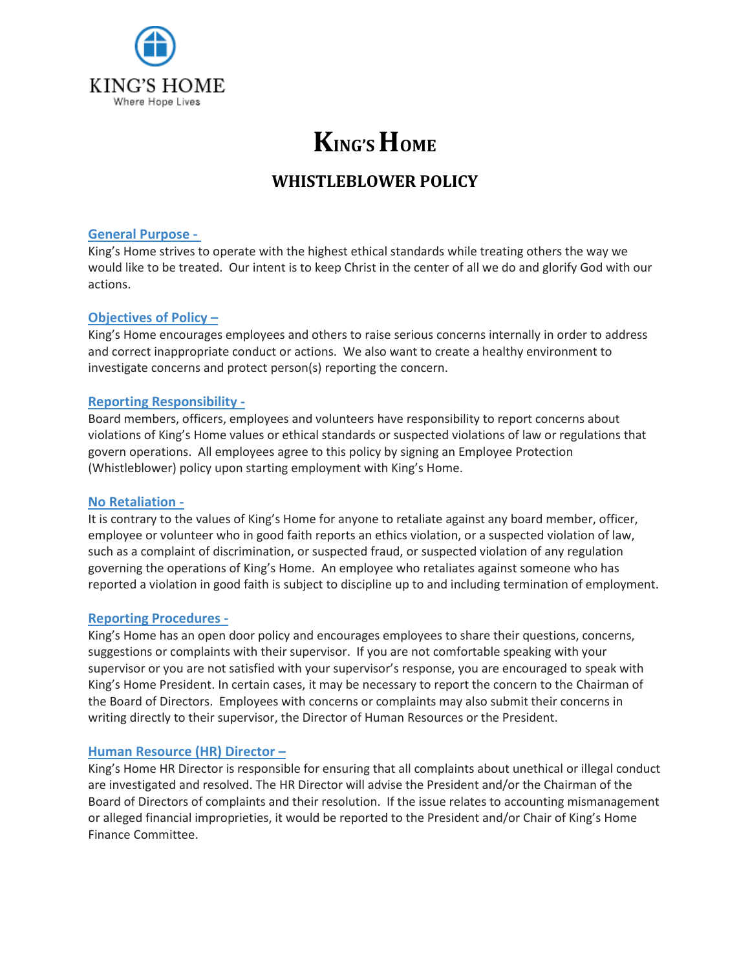

# **KING'S HOME**

# **WHISTLEBLOWER POLICY**

#### **General Purpose -**

King's Home strives to operate with the highest ethical standards while treating others the way we would like to be treated. Our intent is to keep Christ in the center of all we do and glorify God with our actions.

# **Objectives of Policy –**

King's Home encourages employees and others to raise serious concerns internally in order to address and correct inappropriate conduct or actions. We also want to create a healthy environment to investigate concerns and protect person(s) reporting the concern.

# **Reporting Responsibility -**

Board members, officers, employees and volunteers have responsibility to report concerns about violations of King's Home values or ethical standards or suspected violations of law or regulations that govern operations. All employees agree to this policy by signing an Employee Protection (Whistleblower) policy upon starting employment with King's Home.

#### **No Retaliation -**

It is contrary to the values of King's Home for anyone to retaliate against any board member, officer, employee or volunteer who in good faith reports an ethics violation, or a suspected violation of law, such as a complaint of discrimination, or suspected fraud, or suspected violation of any regulation governing the operations of King's Home. An employee who retaliates against someone who has reported a violation in good faith is subject to discipline up to and including termination of employment.

#### **Reporting Procedures -**

King's Home has an open door policy and encourages employees to share their questions, concerns, suggestions or complaints with their supervisor. If you are not comfortable speaking with your supervisor or you are not satisfied with your supervisor's response, you are encouraged to speak with King's Home President. In certain cases, it may be necessary to report the concern to the Chairman of the Board of Directors. Employees with concerns or complaints may also submit their concerns in writing directly to their supervisor, the Director of Human Resources or the President.

# **Human Resource (HR) Director –**

King's Home HR Director is responsible for ensuring that all complaints about unethical or illegal conduct are investigated and resolved. The HR Director will advise the President and/or the Chairman of the Board of Directors of complaints and their resolution. If the issue relates to accounting mismanagement or alleged financial improprieties, it would be reported to the President and/or Chair of King's Home Finance Committee.